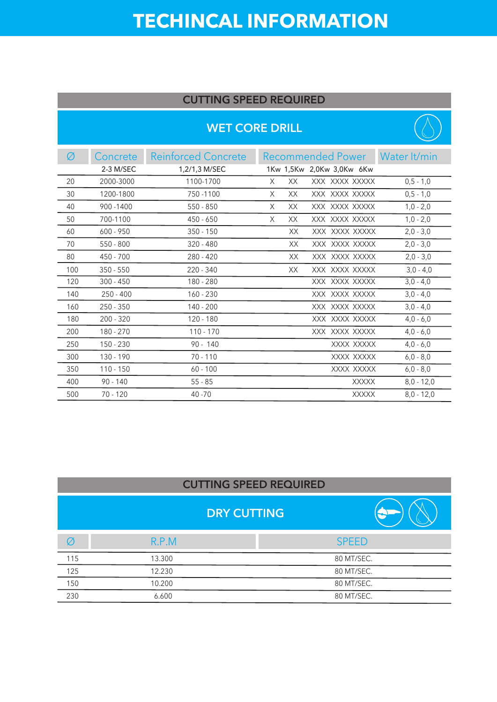## **TECHINCAL INFORMATION**

#### **CUTTING SPEED REQUIRED**

#### **WET CORE DRILL**



| Ø   | Concrete    | <b>Reinforced Concrete</b> |   |     | Recommended Power         | Water It/min |
|-----|-------------|----------------------------|---|-----|---------------------------|--------------|
|     | 2-3 M/SEC   | 1,2/1,3 M/SEC              |   |     | 1Kw 1,5Kw 2,0Kw 3,0Kw 6Kw |              |
| 20  | 2000-3000   | 1100-1700                  | X | XX. | XXX XXXX XXXXX            | $0,5 - 1,0$  |
| 30  | 1200-1800   | 750 - 1100                 | X | XX  | XXX XXXX XXXXX            | $0,5 - 1,0$  |
| 40  | 900 - 1400  | $550 - 850$                | X | XX  | XXX XXXX XXXXX            | $1,0 - 2,0$  |
| 50  | 700-1100    | $450 - 650$                | X | XX  | XXX XXXX XXXXX            | $1,0 - 2,0$  |
| 60  | $600 - 950$ | $350 - 150$                |   | XX  | XXX XXXX XXXXX            | $2,0 - 3,0$  |
| 70  | $550 - 800$ | $320 - 480$                |   | XX  | XXX XXXX XXXXX            | $2,0 - 3,0$  |
| 80  | 450 - 700   | $280 - 420$                |   | XX. | XXX XXXX XXXXX            | $2,0 - 3,0$  |
| 100 | $350 - 550$ | 220 - 340                  |   | XX  | XXX XXXX XXXXX            | $3,0 - 4,0$  |
| 120 | $300 - 450$ | 180 - 280                  |   |     | XXX XXXX XXXXX            | $3,0 - 4,0$  |
| 140 | $250 - 400$ | $160 - 230$                |   |     | XXX XXXX XXXXX            | $3,0 - 4,0$  |
| 160 | $250 - 350$ | $140 - 200$                |   |     | XXX XXXX XXXXX            | $3,0 - 4,0$  |
| 180 | $200 - 320$ | $120 - 180$                |   |     | XXX XXXX XXXXX            | $4,0 - 6,0$  |
| 200 | 180 - 270   | $110 - 170$                |   |     | XXX XXXX XXXXX            | $4,0 - 6,0$  |
| 250 | 150 - 230   | $90 - 140$                 |   |     | XXXX XXXXX                | $4,0 - 6,0$  |
| 300 | 130 - 190   | $70 - 110$                 |   |     | XXXX XXXXX                | $6,0 - 8,0$  |
| 350 | $110 - 150$ | $60 - 100$                 |   |     | XXXX XXXXX                | $6,0 - 8,0$  |
| 400 | $90 - 140$  | $55 - 85$                  |   |     | <b>XXXXX</b>              | $8,0 - 12,0$ |
| 500 | $70 - 120$  | $40 - 70$                  |   |     | <b>XXXXX</b>              | $8.0 - 12.0$ |

#### **CUTTING SPEED REQUIRED**

|     | <b>DRY CUTTING</b> |              |
|-----|--------------------|--------------|
| Ø   | R.P.M              | <b>SPEED</b> |
| 115 | 13.300             | 80 MT/SEC.   |
| 125 | 12.230             | 80 MT/SEC.   |
| 150 | 10.200             | 80 MT/SEC.   |
| 230 | 6.600              | 80 MT/SEC.   |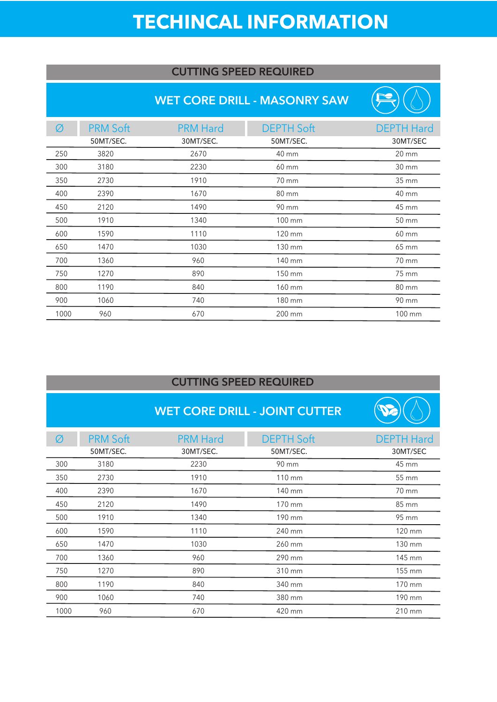# **TECHINCAL INFORMATION**

#### **CUTTING SPEED REQUIRED**

#### **WET CORE DRILL - MASONRY SAW**

| Ø    | <b>PRM Soft</b> | <b>PRM Hard</b> | <b>DEPTH Soft</b> | <b>DEPTH Hard</b> |
|------|-----------------|-----------------|-------------------|-------------------|
|      | 50MT/SEC.       | 30MT/SEC.       | 50MT/SEC.         | 30MT/SEC          |
| 250  | 3820            | 2670            | 40 mm             | $20 \, \text{mm}$ |
| 300  | 3180            | 2230            | 60 mm             | 30 mm             |
| 350  | 2730            | 1910            | 70 mm             | 35 mm             |
| 400  | 2390            | 1670            | 80 mm             | 40 mm             |
| 450  | 2120            | 1490            | 90 mm             | 45 mm             |
| 500  | 1910            | 1340            | 100 mm            | 50 mm             |
| 600  | 1590            | 1110            | 120 mm            | 60 mm             |
| 650  | 1470            | 1030            | 130 mm            | 65 mm             |
| 700  | 1360            | 960             | 140 mm            | 70 mm             |
| 750  | 1270            | 890             | 150 mm            | 75 mm             |
| 800  | 1190            | 840             | 160 mm            | 80 mm             |
| 900  | 1060            | 740             | 180 mm            | 90 mm             |
| 1000 | 960             | 670             | 200 mm            | 100 mm            |

#### **CUTTING SPEED REQUIRED**

L,

### **WET CORE DRILL - JOINT CUTTER**